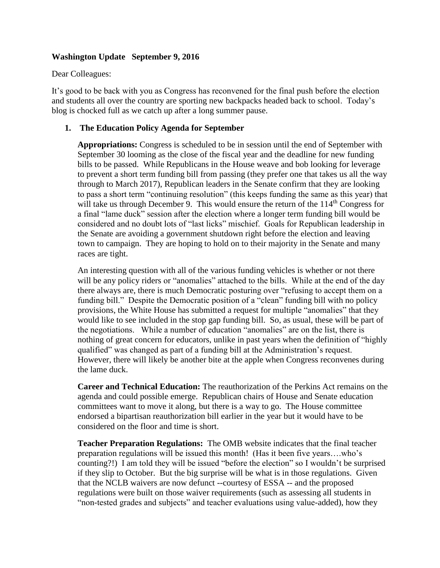# **Washington Update September 9, 2016**

#### Dear Colleagues:

It's good to be back with you as Congress has reconvened for the final push before the election and students all over the country are sporting new backpacks headed back to school. Today's blog is chocked full as we catch up after a long summer pause.

#### **1. The Education Policy Agenda for September**

**Appropriations:** Congress is scheduled to be in session until the end of September with September 30 looming as the close of the fiscal year and the deadline for new funding bills to be passed. While Republicans in the House weave and bob looking for leverage to prevent a short term funding bill from passing (they prefer one that takes us all the way through to March 2017), Republican leaders in the Senate confirm that they are looking to pass a short term "continuing resolution" (this keeps funding the same as this year) that will take us through December 9. This would ensure the return of the  $114<sup>th</sup>$  Congress for a final "lame duck" session after the election where a longer term funding bill would be considered and no doubt lots of "last licks" mischief. Goals for Republican leadership in the Senate are avoiding a government shutdown right before the election and leaving town to campaign. They are hoping to hold on to their majority in the Senate and many races are tight.

An interesting question with all of the various funding vehicles is whether or not there will be any policy riders or "anomalies" attached to the bills. While at the end of the day there always are, there is much Democratic posturing over "refusing to accept them on a funding bill." Despite the Democratic position of a "clean" funding bill with no policy provisions, the White House has submitted a request for multiple "anomalies" that they would like to see included in the stop gap funding bill. So, as usual, these will be part of the negotiations. While a number of education "anomalies" are on the list, there is nothing of great concern for educators, unlike in past years when the definition of "highly qualified" was changed as part of a funding bill at the Administration's request. However, there will likely be another bite at the apple when Congress reconvenes during the lame duck.

**Career and Technical Education:** The reauthorization of the Perkins Act remains on the agenda and could possible emerge. Republican chairs of House and Senate education committees want to move it along, but there is a way to go. The House committee endorsed a bipartisan reauthorization bill earlier in the year but it would have to be considered on the floor and time is short.

**Teacher Preparation Regulations:** The OMB website indicates that the final teacher preparation regulations will be issued this month! (Has it been five years….who's counting?!) I am told they will be issued "before the election" so I wouldn't be surprised if they slip to October. But the big surprise will be what is in those regulations. Given that the NCLB waivers are now defunct --courtesy of ESSA -- and the proposed regulations were built on those waiver requirements (such as assessing all students in "non-tested grades and subjects" and teacher evaluations using value-added), how they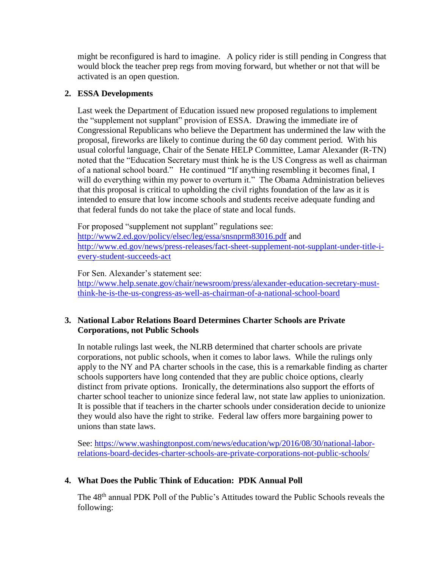might be reconfigured is hard to imagine. A policy rider is still pending in Congress that would block the teacher prep regs from moving forward, but whether or not that will be activated is an open question.

# **2. ESSA Developments**

Last week the Department of Education issued new proposed regulations to implement the "supplement not supplant" provision of ESSA. Drawing the immediate ire of Congressional Republicans who believe the Department has undermined the law with the proposal, fireworks are likely to continue during the 60 day comment period. With his usual colorful language, Chair of the Senate HELP Committee, Lamar Alexander (R-TN) noted that the "Education Secretary must think he is the US Congress as well as chairman of a national school board." He continued "If anything resembling it becomes final, I will do everything within my power to overturn it." The Obama Administration believes that this proposal is critical to upholding the civil rights foundation of the law as it is intended to ensure that low income schools and students receive adequate funding and that federal funds do not take the place of state and local funds.

For proposed "supplement not supplant" regulations see: <http://www2.ed.gov/policy/elsec/leg/essa/snsnprm83016.pdf> and [http://www.ed.gov/news/press-releases/fact-sheet-supplement-not-supplant-under-title-i](http://www.ed.gov/news/press-releases/fact-sheet-supplement-not-supplant-under-title-i-every-student-succeeds-act)[every-student-succeeds-act](http://www.ed.gov/news/press-releases/fact-sheet-supplement-not-supplant-under-title-i-every-student-succeeds-act)

For Sen. Alexander's statement see: [http://www.help.senate.gov/chair/newsroom/press/alexander-education-secretary-must](http://www.help.senate.gov/chair/newsroom/press/alexander-education-secretary-must-think-he-is-the-us-congress-as-well-as-chairman-of-a-national-school-board)[think-he-is-the-us-congress-as-well-as-chairman-of-a-national-school-board](http://www.help.senate.gov/chair/newsroom/press/alexander-education-secretary-must-think-he-is-the-us-congress-as-well-as-chairman-of-a-national-school-board)

### **3. National Labor Relations Board Determines Charter Schools are Private Corporations, not Public Schools**

In notable rulings last week, the NLRB determined that charter schools are private corporations, not public schools, when it comes to labor laws. While the rulings only apply to the NY and PA charter schools in the case, this is a remarkable finding as charter schools supporters have long contended that they are public choice options, clearly distinct from private options. Ironically, the determinations also support the efforts of charter school teacher to unionize since federal law, not state law applies to unionization. It is possible that if teachers in the charter schools under consideration decide to unionize they would also have the right to strike. Federal law offers more bargaining power to unions than state laws.

See: [https://www.washingtonpost.com/news/education/wp/2016/08/30/national-labor](https://www.washingtonpost.com/news/education/wp/2016/08/30/national-labor-relations-board-decides-charter-schools-are-private-corporations-not-public-schools/)[relations-board-decides-charter-schools-are-private-corporations-not-public-schools/](https://www.washingtonpost.com/news/education/wp/2016/08/30/national-labor-relations-board-decides-charter-schools-are-private-corporations-not-public-schools/)

# **4. What Does the Public Think of Education: PDK Annual Poll**

The 48th annual PDK Poll of the Public's Attitudes toward the Public Schools reveals the following: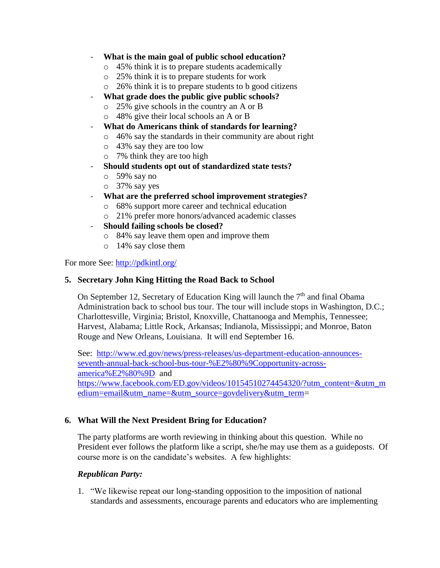- **What is the main goal of public school education?**
	- o 45% think it is to prepare students academically
	- o 25% think it is to prepare students for work
	- o 26% think it is to prepare students to b good citizens
- **What grade does the public give public schools?**
	- o 25% give schools in the country an A or B
	- o 48% give their local schools an A or B
- **What do Americans think of standards for learning?**
	- o 46% say the standards in their community are about right
	- o 43% say they are too low
	- o 7% think they are too high
- **Should students opt out of standardized state tests?**
	- o 59% say no
	- o 37% say yes
- **What are the preferred school improvement strategies?**
	- o 68% support more career and technical education
	- o 21% prefer more honors/advanced academic classes
- **Should failing schools be closed?**
	- o 84% say leave them open and improve them
	- o 14% say close them

For more See:<http://pdkintl.org/>

## **5. Secretary John King Hitting the Road Back to School**

On September 12, Secretary of Education King will launch the  $7<sup>th</sup>$  and final Obama Administration back to school bus tour. The tour will include stops in Washington, D.C.; Charlottesville, Virginia; Bristol, Knoxville, Chattanooga and Memphis, Tennessee; Harvest, Alabama; Little Rock, Arkansas; Indianola, Mississippi; and Monroe, Baton Rouge and New Orleans, Louisiana. It will end September 16.

See: [http://www.ed.gov/news/press-releases/us-department-education-announces](http://www.ed.gov/news/press-releases/us-department-education-announces-seventh-annual-back-school-bus-tour-%E2%80%9Copportunity-across-america%E2%80%9D)[seventh-annual-back-school-bus-tour-%E2%80%9Copportunity-across](http://www.ed.gov/news/press-releases/us-department-education-announces-seventh-annual-back-school-bus-tour-%E2%80%9Copportunity-across-america%E2%80%9D)[america%E2%80%9D](http://www.ed.gov/news/press-releases/us-department-education-announces-seventh-annual-back-school-bus-tour-%E2%80%9Copportunity-across-america%E2%80%9D) and [https://www.facebook.com/ED.gov/videos/10154510274454320/?utm\\_content=&utm\\_m](https://www.facebook.com/ED.gov/videos/10154510274454320/?utm_content=&utm_medium=email&utm_name=&utm_source=govdelivery&utm_term) [edium=email&utm\\_name=&utm\\_source=govdelivery&utm\\_term=](https://www.facebook.com/ED.gov/videos/10154510274454320/?utm_content=&utm_medium=email&utm_name=&utm_source=govdelivery&utm_term)

# **6. What Will the Next President Bring for Education?**

The party platforms are worth reviewing in thinking about this question. While no President ever follows the platform like a script, she/he may use them as a guideposts. Of course more is on the candidate's websites. A few highlights:

#### *Republican Party:*

1. "We likewise repeat our long-standing opposition to the imposition of national standards and assessments, encourage parents and educators who are implementing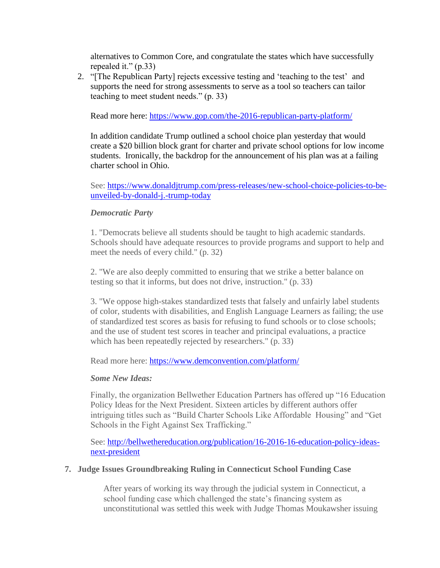alternatives to Common Core, and congratulate the states which have successfully repealed it." (p.33)

2. "[The Republican Party] rejects excessive testing and 'teaching to the test' and supports the need for strong assessments to serve as a tool so teachers can tailor teaching to meet student needs." (p. 33)

Read more here:<https://www.gop.com/the-2016-republican-party-platform/>

In addition candidate Trump outlined a school choice plan yesterday that would create a \$20 billion block grant for charter and private school options for low income students. Ironically, the backdrop for the announcement of his plan was at a failing charter school in Ohio.

See: [https://www.donaldjtrump.com/press-releases/new-school-choice-policies-to-be](https://www.donaldjtrump.com/press-releases/new-school-choice-policies-to-be-unveiled-by-donald-j.-trump-today)[unveiled-by-donald-j.-trump-today](https://www.donaldjtrump.com/press-releases/new-school-choice-policies-to-be-unveiled-by-donald-j.-trump-today)

### *Democratic Party*

1. "Democrats believe all students should be taught to high academic standards. Schools should have adequate resources to provide programs and support to help and meet the needs of every child." (p. 32)

2. "We are also deeply committed to ensuring that we strike a better balance on testing so that it informs, but does not drive, instruction." (p. 33)

3. "We oppose high-stakes standardized tests that falsely and unfairly label students of color, students with disabilities, and English Language Learners as failing; the use of standardized test scores as basis for refusing to fund schools or to close schools; and the use of student test scores in teacher and principal evaluations, a practice which has been repeatedly rejected by researchers." (p. 33)

Read more here: [https://www.demconvention.com/platform/](https://ams.kdp.org/kdpssa/ecmssamsganalytics.click_through?p_mail_id=E444255A11436753B1C519109)

#### *Some New Ideas:*

Finally, the organization Bellwether Education Partners has offered up "16 Education Policy Ideas for the Next President. Sixteen articles by different authors offer intriguing titles such as "Build Charter Schools Like Affordable Housing" and "Get Schools in the Fight Against Sex Trafficking."

See: [http://bellwethereducation.org/publication/16-2016-16-education-policy-ideas](http://bellwethereducation.org/publication/16-2016-16-education-policy-ideas-next-president)[next-president](http://bellwethereducation.org/publication/16-2016-16-education-policy-ideas-next-president)

#### **7. Judge Issues Groundbreaking Ruling in Connecticut School Funding Case**

After years of working its way through the judicial system in Connecticut, a school funding case which challenged the state's financing system as unconstitutional was settled this week with Judge Thomas Moukawsher issuing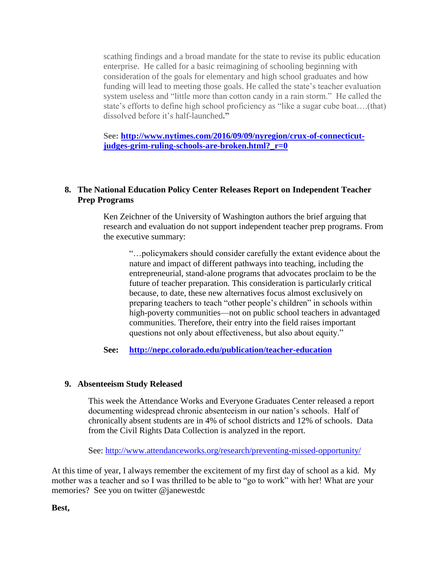scathing findings and a broad mandate for the state to revise its public education enterprise. He called for a basic reimagining of schooling beginning with consideration of the goals for elementary and high school graduates and how funding will lead to meeting those goals. He called the state's teacher evaluation system useless and "little more than cotton candy in a rain storm." He called the state's efforts to define high school proficiency as "like a sugar cube boat….(that) dissolved before it's half-launched**."** 

**See: [http://www.nytimes.com/2016/09/09/nyregion/crux-of-connecticut](http://www.nytimes.com/2016/09/09/nyregion/crux-of-connecticut-judges-grim-ruling-schools-are-broken.html?_r=0)[judges-grim-ruling-schools-are-broken.html?\\_r=0](http://www.nytimes.com/2016/09/09/nyregion/crux-of-connecticut-judges-grim-ruling-schools-are-broken.html?_r=0)**

## **8. The National Education Policy Center Releases Report on Independent Teacher Prep Programs**

Ken Zeichner of the University of Washington authors the brief arguing that research and evaluation do not support independent teacher prep programs. From the executive summary:

"…policymakers should consider carefully the extant evidence about the nature and impact of different pathways into teaching, including the entrepreneurial, stand-alone programs that advocates proclaim to be the future of teacher preparation. This consideration is particularly critical because, to date, these new alternatives focus almost exclusively on preparing teachers to teach "other people's children" in schools within high-poverty communities—not on public school teachers in advantaged communities. Therefore, their entry into the field raises important questions not only about effectiveness, but also about equity."

**See: <http://nepc.colorado.edu/publication/teacher-education>**

# **9. Absenteeism Study Released**

This week the Attendance Works and Everyone Graduates Center released a report documenting widespread chronic absenteeism in our nation's schools. Half of chronically absent students are in 4% of school districts and 12% of schools. Data from the Civil Rights Data Collection is analyzed in the report.

See:<http://www.attendanceworks.org/research/preventing-missed-opportunity/>

At this time of year, I always remember the excitement of my first day of school as a kid. My mother was a teacher and so I was thrilled to be able to "go to work" with her! What are your memories? See you on twitter @janewestdc

**Best,**